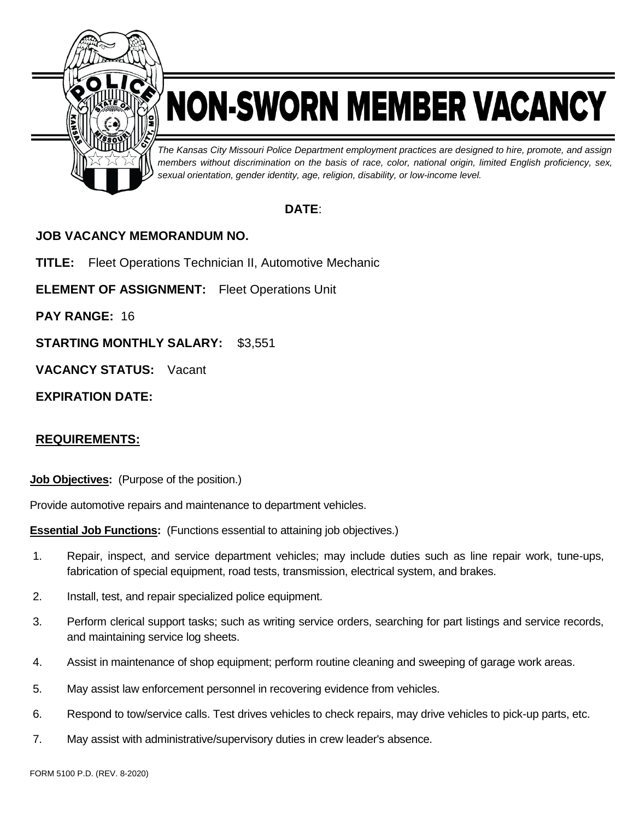

# NON-SWORN MEMBER VACANCY

*The Kansas City Missouri Police Department employment practices are designed to hire, promote, and assign members without discrimination on the basis of race, color, national origin, limited English proficiency, sex, sexual orientation, gender identity, age, religion, disability, or low-income level.*

# **DATE**:

# **JOB VACANCY MEMORANDUM NO.**

**TITLE:** Fleet Operations Technician II, Automotive Mechanic

**ELEMENT OF ASSIGNMENT:** Fleet Operations Unit

**PAY RANGE:** 16

**STARTING MONTHLY SALARY:** \$3,551

**VACANCY STATUS:** Vacant

## **EXPIRATION DATE:**

# **REQUIREMENTS:**

**Job Objectives:** (Purpose of the position.)

Provide automotive repairs and maintenance to department vehicles.

**Essential Job Functions:** (Functions essential to attaining job objectives.)

- 1. Repair, inspect, and service department vehicles; may include duties such as line repair work, tune-ups, fabrication of special equipment, road tests, transmission, electrical system, and brakes.
- 2. Install, test, and repair specialized police equipment.
- 3. Perform clerical support tasks; such as writing service orders, searching for part listings and service records, and maintaining service log sheets.
- 4. Assist in maintenance of shop equipment; perform routine cleaning and sweeping of garage work areas.
- 5. May assist law enforcement personnel in recovering evidence from vehicles.
- 6. Respond to tow/service calls. Test drives vehicles to check repairs, may drive vehicles to pick-up parts, etc.
- 7. May assist with administrative/supervisory duties in crew leader's absence.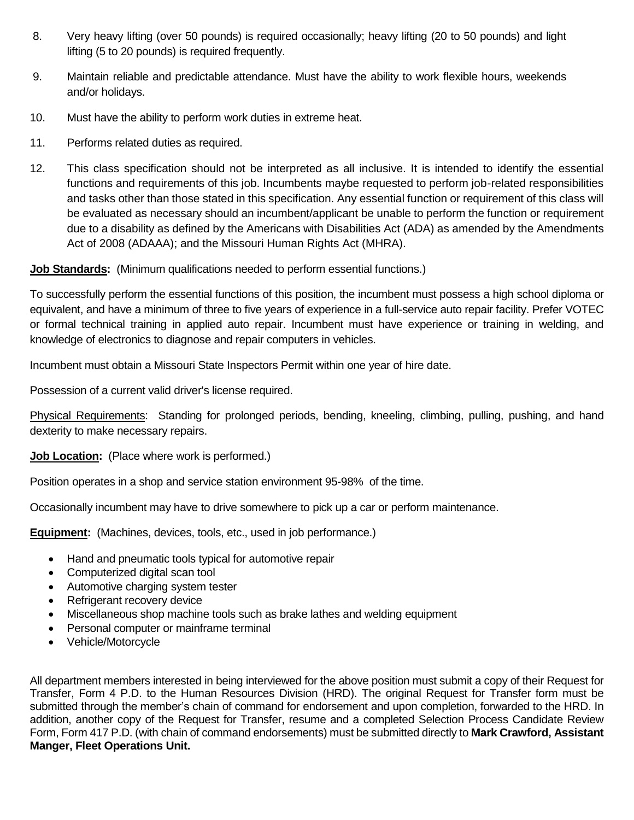- 8. Very heavy lifting (over 50 pounds) is required occasionally; heavy lifting (20 to 50 pounds) and light lifting (5 to 20 pounds) is required frequently.
- 9. Maintain reliable and predictable attendance. Must have the ability to work flexible hours, weekends and/or holidays.
- 10. Must have the ability to perform work duties in extreme heat.
- 11. Performs related duties as required.
- 12. This class specification should not be interpreted as all inclusive. It is intended to identify the essential functions and requirements of this job. Incumbents maybe requested to perform job-related responsibilities and tasks other than those stated in this specification. Any essential function or requirement of this class will be evaluated as necessary should an incumbent/applicant be unable to perform the function or requirement due to a disability as defined by the Americans with Disabilities Act (ADA) as amended by the Amendments Act of 2008 (ADAAA); and the Missouri Human Rights Act (MHRA).

### **Job Standards:** (Minimum qualifications needed to perform essential functions.)

To successfully perform the essential functions of this position, the incumbent must possess a high school diploma or equivalent, and have a minimum of three to five years of experience in a full-service auto repair facility. Prefer VOTEC or formal technical training in applied auto repair. Incumbent must have experience or training in welding, and knowledge of electronics to diagnose and repair computers in vehicles.

Incumbent must obtain a Missouri State Inspectors Permit within one year of hire date.

Possession of a current valid driver's license required.

Physical Requirements: Standing for prolonged periods, bending, kneeling, climbing, pulling, pushing, and hand dexterity to make necessary repairs.

#### **Job Location:** (Place where work is performed.)

Position operates in a shop and service station environment 95-98% of the time.

Occasionally incumbent may have to drive somewhere to pick up a car or perform maintenance.

**Equipment:** (Machines, devices, tools, etc., used in job performance.)

- Hand and pneumatic tools typical for automotive repair
- Computerized digital scan tool
- Automotive charging system tester
- Refrigerant recovery device
- Miscellaneous shop machine tools such as brake lathes and welding equipment
- Personal computer or mainframe terminal
- Vehicle/Motorcycle

All department members interested in being interviewed for the above position must submit a copy of their Request for Transfer, Form 4 P.D. to the Human Resources Division (HRD). The original Request for Transfer form must be submitted through the member's chain of command for endorsement and upon completion, forwarded to the HRD. In addition, another copy of the Request for Transfer, resume and a completed Selection Process Candidate Review Form, Form 417 P.D. (with chain of command endorsements) must be submitted directly to **Mark Crawford, Assistant Manger, Fleet Operations Unit.**